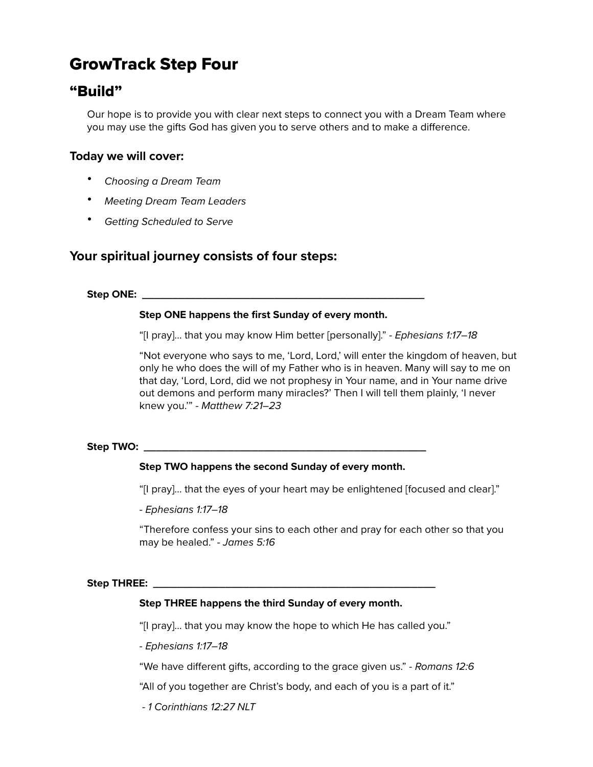# GrowTrack Step Four

# "Build"

Our hope is to provide you with clear next steps to connect you with a Dream Team where you may use the gifts God has given you to serve others and to make a difference.

# **Today we will cover:**

- *Choosing a Dream Team*
- *Meeting Dream Team Leaders*
- *Getting Scheduled to Serve*

# **Your spiritual journey consists of four steps:**

**Step ONE: \_\_\_\_\_\_\_\_\_\_\_\_\_\_\_\_\_\_\_\_\_\_\_\_\_\_\_\_\_\_\_\_\_\_\_\_\_\_\_\_\_\_\_\_\_\_\_**

## **Step ONE happens the first Sunday of every month.**

"[I pray]… that you may know Him better [personally]." - *Ephesians 1:17–18*

"Not everyone who says to me, 'Lord, Lord,' will enter the kingdom of heaven, but only he who does the will of my Father who is in heaven. Many will say to me on that day, 'Lord, Lord, did we not prophesy in Your name, and in Your name drive out demons and perform many miracles?' Then I will tell them plainly, 'I never knew you.'" - *Matthew 7:21–23* 

#### **Step TWO: \_\_\_\_\_\_\_\_\_\_\_\_\_\_\_\_\_\_\_\_\_\_\_\_\_\_\_\_\_\_\_\_\_\_\_\_\_\_\_\_\_\_\_\_\_\_\_**

#### **Step TWO happens the second Sunday of every month.**

"[I pray]… that the eyes of your heart may be enlightened [focused and clear]."

- *Ephesians 1:17–18*

"Therefore confess your sins to each other and pray for each other so that you may be healed." - *James 5:16*

#### **Step THREE: \_\_\_\_\_\_\_\_\_\_\_\_\_\_\_\_\_\_\_\_\_\_\_\_\_\_\_\_\_\_\_\_\_\_\_\_\_\_\_\_\_\_\_\_\_\_\_**

#### **Step THREE happens the third Sunday of every month.**

"[I pray]… that you may know the hope to which He has called you."

- *Ephesians 1:17–18*

"We have different gifts, according to the grace given us." - *Romans 12:6*

"All of you together are Christ's body, and each of you is a part of it."

- *1 Corinthians 12:27 NLT*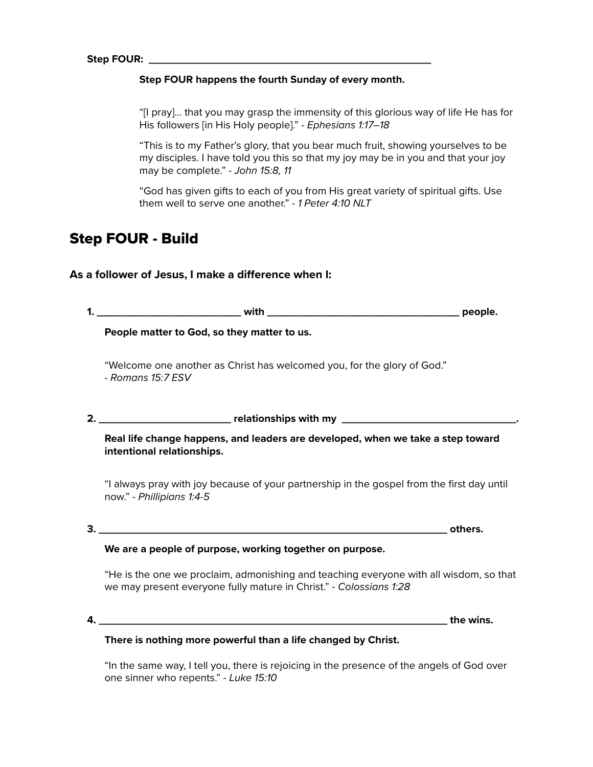#### **Step FOUR happens the fourth Sunday of every month.**

"[I pray]… that you may grasp the immensity of this glorious way of life He has for His followers [in His Holy people]." - *Ephesians 1:17–18*

"This is to my Father's glory, that you bear much fruit, showing yourselves to be my disciples. I have told you this so that my joy may be in you and that your joy may be complete." - *John 15:8, 11*

"God has given gifts to each of you from His great variety of spiritual gifts. Use them well to serve one another." - *1 Peter 4:10 NLT*

# Step FOUR - Build

As a follower of Jesus, I make a difference when I:

| 1. |                                                                                                                                                              |  |
|----|--------------------------------------------------------------------------------------------------------------------------------------------------------------|--|
|    | People matter to God, so they matter to us.                                                                                                                  |  |
|    | "Welcome one another as Christ has welcomed you, for the glory of God."<br>- Romans 15:7 ESV                                                                 |  |
|    |                                                                                                                                                              |  |
|    | Real life change happens, and leaders are developed, when we take a step toward<br>intentional relationships.                                                |  |
|    | "I always pray with joy because of your partnership in the gospel from the first day until<br>now." - Phillipians 1:4-5                                      |  |
|    |                                                                                                                                                              |  |
|    | We are a people of purpose, working together on purpose.                                                                                                     |  |
|    | "He is the one we proclaim, admonishing and teaching everyone with all wisdom, so that<br>we may present everyone fully mature in Christ." - Colossians 1:28 |  |
| 4. |                                                                                                                                                              |  |
|    | There is nothing more powerful than a life changed by Christ.                                                                                                |  |
|    | "In the same way, I tell you, there is rejoicing in the presence of the angels of God over                                                                   |  |

one sinner who repents." - *Luke 15:10*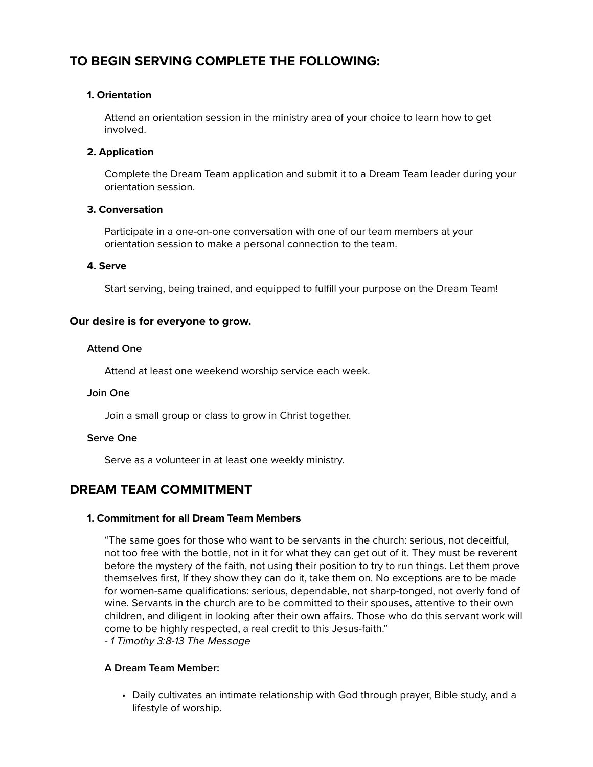# **TO BEGIN SERVING COMPLETE THE FOLLOWING:**

### **1. Orientation**

Attend an orientation session in the ministry area of your choice to learn how to get involved.

### **2. Application**

Complete the Dream Team application and submit it to a Dream Team leader during your orientation session.

#### **3. Conversation**

Participate in a one-on-one conversation with one of our team members at your orientation session to make a personal connection to the team.

#### **4. Serve**

Start serving, being trained, and equipped to fulfill your purpose on the Dream Team!

#### **Our desire is for everyone to grow.**

#### **Attend One**

Attend at least one weekend worship service each week.

#### **Join One**

Join a small group or class to grow in Christ together.

#### **Serve One**

Serve as a volunteer in at least one weekly ministry.

# **DREAM TEAM COMMITMENT**

#### **1. Commitment for all Dream Team Members**

"The same goes for those who want to be servants in the church: serious, not deceitful, not too free with the bottle, not in it for what they can get out of it. They must be reverent before the mystery of the faith, not using their position to try to run things. Let them prove themselves first, If they show they can do it, take them on. No exceptions are to be made for women-same qualifications: serious, dependable, not sharp-tonged, not overly fond of wine. Servants in the church are to be committed to their spouses, attentive to their own children, and diligent in looking after their own affairs. Those who do this servant work will come to be highly respected, a real credit to this Jesus-faith."

#### - *1 Timothy 3:8-13 The Message*

#### **A Dream Team Member:**

• Daily cultivates an intimate relationship with God through prayer, Bible study, and a lifestyle of worship.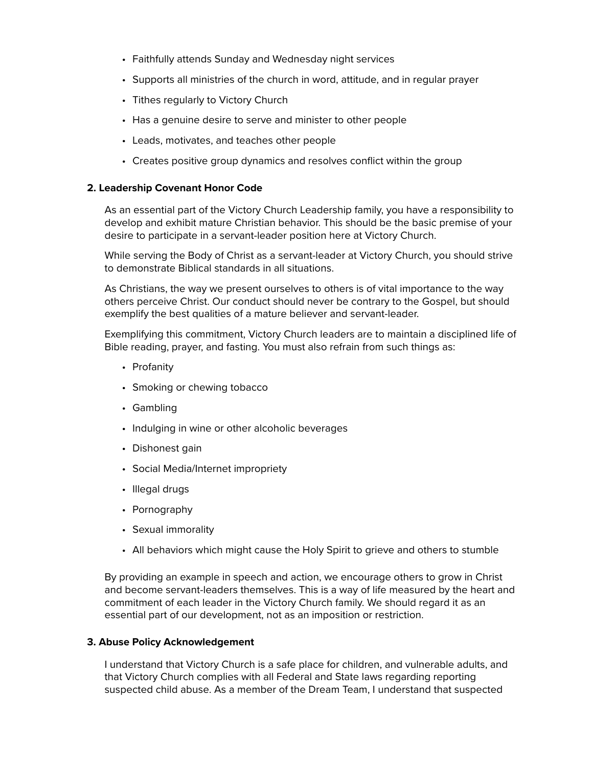- Faithfully attends Sunday and Wednesday night services
- Supports all ministries of the church in word, attitude, and in regular prayer
- Tithes regularly to Victory Church
- Has a genuine desire to serve and minister to other people
- Leads, motivates, and teaches other people
- Creates positive group dynamics and resolves conflict within the group

#### **2. Leadership Covenant Honor Code**

As an essential part of the Victory Church Leadership family, you have a responsibility to develop and exhibit mature Christian behavior. This should be the basic premise of your desire to participate in a servant-leader position here at Victory Church.

While serving the Body of Christ as a servant-leader at Victory Church, you should strive to demonstrate Biblical standards in all situations.

As Christians, the way we present ourselves to others is of vital importance to the way others perceive Christ. Our conduct should never be contrary to the Gospel, but should exemplify the best qualities of a mature believer and servant-leader.

Exemplifying this commitment, Victory Church leaders are to maintain a disciplined life of Bible reading, prayer, and fasting. You must also refrain from such things as:

- Profanity
- Smoking or chewing tobacco
- Gambling
- Indulging in wine or other alcoholic beverages
- Dishonest gain
- Social Media/Internet impropriety
- Illegal drugs
- Pornography
- Sexual immorality
- All behaviors which might cause the Holy Spirit to grieve and others to stumble

By providing an example in speech and action, we encourage others to grow in Christ and become servant-leaders themselves. This is a way of life measured by the heart and commitment of each leader in the Victory Church family. We should regard it as an essential part of our development, not as an imposition or restriction.

#### **3. Abuse Policy Acknowledgement**

I understand that Victory Church is a safe place for children, and vulnerable adults, and that Victory Church complies with all Federal and State laws regarding reporting suspected child abuse. As a member of the Dream Team, I understand that suspected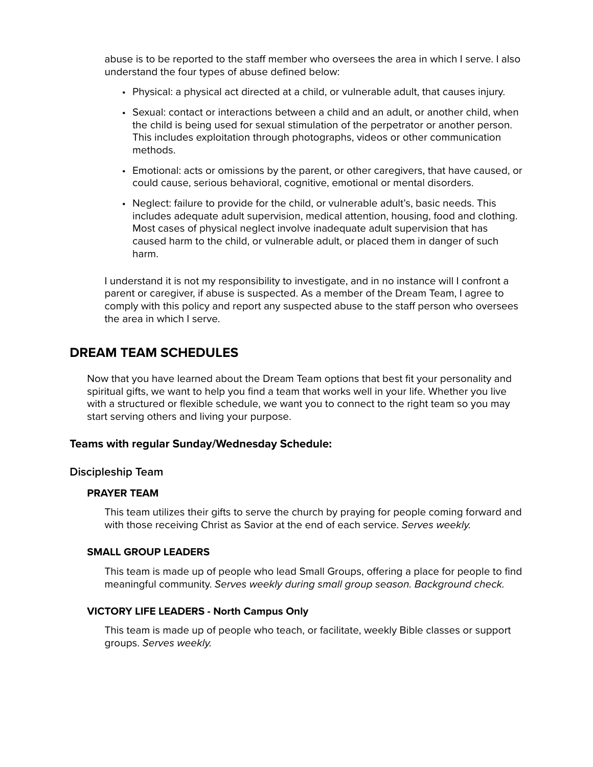abuse is to be reported to the staff member who oversees the area in which I serve. I also understand the four types of abuse defined below:

- Physical: a physical act directed at a child, or vulnerable adult, that causes injury.
- Sexual: contact or interactions between a child and an adult, or another child, when the child is being used for sexual stimulation of the perpetrator or another person. This includes exploitation through photographs, videos or other communication methods.
- Emotional: acts or omissions by the parent, or other caregivers, that have caused, or could cause, serious behavioral, cognitive, emotional or mental disorders.
- Neglect: failure to provide for the child, or vulnerable adult's, basic needs. This includes adequate adult supervision, medical attention, housing, food and clothing. Most cases of physical neglect involve inadequate adult supervision that has caused harm to the child, or vulnerable adult, or placed them in danger of such harm.

I understand it is not my responsibility to investigate, and in no instance will I confront a parent or caregiver, if abuse is suspected. As a member of the Dream Team, I agree to comply with this policy and report any suspected abuse to the staff person who oversees the area in which I serve.

# **DREAM TEAM SCHEDULES**

Now that you have learned about the Dream Team options that best fit your personality and spiritual gifts, we want to help you find a team that works well in your life. Whether you live with a structured or flexible schedule, we want you to connect to the right team so you may start serving others and living your purpose.

#### **Teams with regular Sunday/Wednesday Schedule:**

#### **Discipleship Team**

#### **PRAYER TEAM**

This team utilizes their gifts to serve the church by praying for people coming forward and with those receiving Christ as Savior at the end of each service. *Serves weekly.*

#### **SMALL GROUP LEADERS**

This team is made up of people who lead Small Groups, offering a place for people to find meaningful community. *Serves weekly during small group season. Background check.* 

#### **VICTORY LIFE LEADERS - North Campus Only**

This team is made up of people who teach, or facilitate, weekly Bible classes or support groups. *Serves weekly.*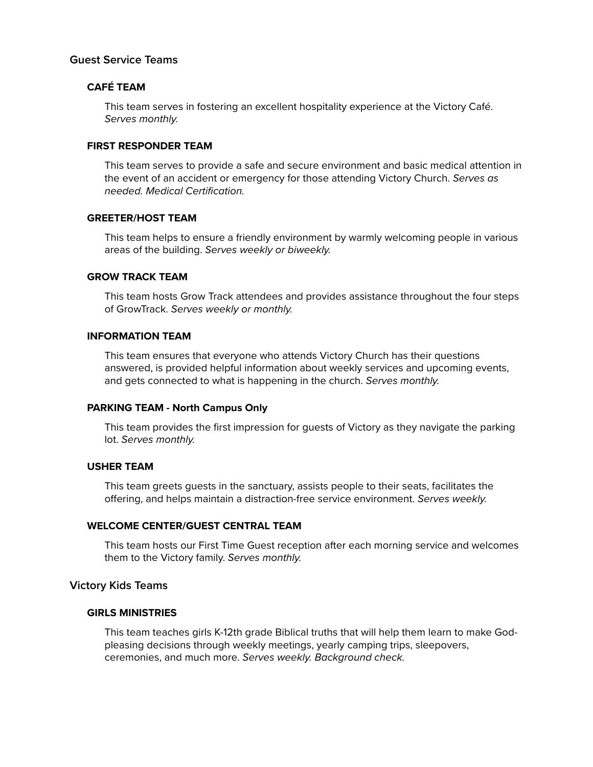#### **Guest Service Teams**

# **CAFÉ TEAM**

This team serves in fostering an excellent hospitality experience at the Victory Café. *Serves monthly.*

#### **FIRST RESPONDER TEAM**

This team serves to provide a safe and secure environment and basic medical attention in the event of an accident or emergency for those attending Victory Church. *Serves as needed. Medical Certification.* 

#### **GREETER/HOST TEAM**

This team helps to ensure a friendly environment by warmly welcoming people in various areas of the building. *Serves weekly or biweekly.* 

#### **GROW TRACK TEAM**

This team hosts Grow Track attendees and provides assistance throughout the four steps of GrowTrack. *Serves weekly or monthly.* 

#### **INFORMATION TEAM**

This team ensures that everyone who attends Victory Church has their questions answered, is provided helpful information about weekly services and upcoming events, and gets connected to what is happening in the church. *Serves monthly.* 

#### **PARKING TEAM - North Campus Only**

This team provides the first impression for guests of Victory as they navigate the parking lot. *Serves monthly.* 

#### **USHER TEAM**

This team greets guests in the sanctuary, assists people to their seats, facilitates the offering, and helps maintain a distraction-free service environment. *Serves weekly.* 

#### **WELCOME CENTER/GUEST CENTRAL TEAM**

This team hosts our First Time Guest reception after each morning service and welcomes them to the Victory family. *Serves monthly.* 

#### **Victory Kids Teams**

#### **GIRLS MINISTRIES**

This team teaches girls K-12th grade Biblical truths that will help them learn to make Godpleasing decisions through weekly meetings, yearly camping trips, sleepovers, ceremonies, and much more. *Serves weekly. Background check.*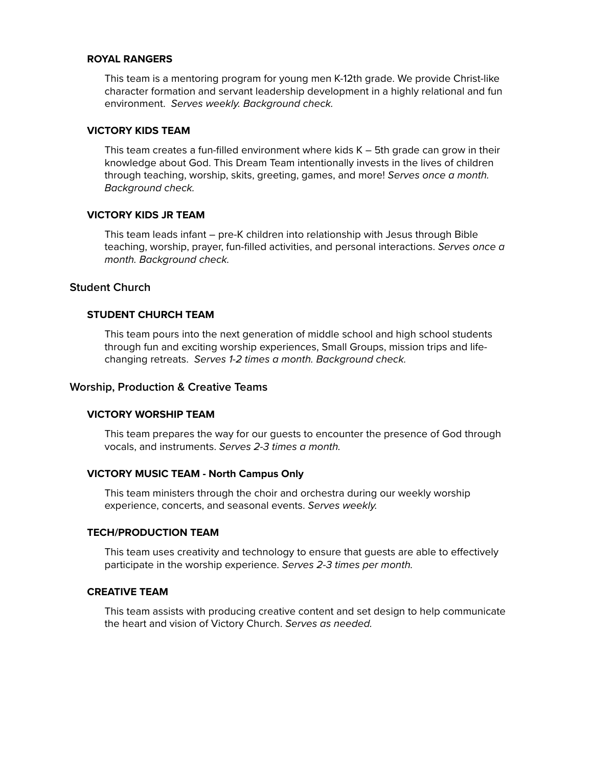#### **ROYAL RANGERS**

This team is a mentoring program for young men K-12th grade. We provide Christ-like character formation and servant leadership development in a highly relational and fun environment. *Serves weekly. Background check.*

#### **VICTORY KIDS TEAM**

This team creates a fun-filled environment where kids K – 5th grade can grow in their knowledge about God. This Dream Team intentionally invests in the lives of children through teaching, worship, skits, greeting, games, and more! *Serves once a month. Background check.*

#### **VICTORY KIDS JR TEAM**

This team leads infant – pre-K children into relationship with Jesus through Bible teaching, worship, prayer, fun-filled activities, and personal interactions. *Serves once a month. Background check.* 

### **Student Church**

#### **STUDENT CHURCH TEAM**

This team pours into the next generation of middle school and high school students through fun and exciting worship experiences, Small Groups, mission trips and lifechanging retreats. *Serves 1-2 times a month. Background check.* 

#### **Worship, Production & Creative Teams**

#### **VICTORY WORSHIP TEAM**

This team prepares the way for our guests to encounter the presence of God through vocals, and instruments. *Serves 2-3 times a month.*

#### **VICTORY MUSIC TEAM - North Campus Only**

This team ministers through the choir and orchestra during our weekly worship experience, concerts, and seasonal events. *Serves weekly.*

#### **TECH/PRODUCTION TEAM**

This team uses creativity and technology to ensure that guests are able to effectively participate in the worship experience. *Serves 2-3 times per month.*

#### **CREATIVE TEAM**

This team assists with producing creative content and set design to help communicate the heart and vision of Victory Church. *Serves as needed.*